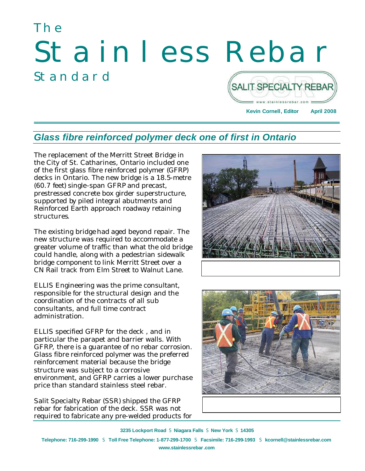# The Stainless Rebar Standard SALIT SPECIALTY REBAR



#### *Glass fibre reinforced polymer deck one of first in Ontario*

The replacement of the Merritt Street Bridge in the City of St. Catharines, Ontario included one of the first glass fibre reinforced polymer (GFRP) decks in Ontario. The new bridge is a 18.5-metre (60.7 feet) single-span GFRP and precast, prestressed concrete box girder superstructure, supported by piled integral abutments and Reinforced Earth approach roadway retaining structures.

The existing bridge had aged beyond repair. The new structure was required to accommodate a greater volume of traffic than what the old bridge could handle, along with a pedestrian sidewalk bridge component to link Merritt Street over a CN Rail track from Elm Street to Walnut Lane.

ELLIS Engineering was the prime consultant, responsible for the structural design and the coordination of the contracts of all sub consultants, and full time contract administration.

ELLIS specified GFRP for the deck , and in particular the parapet and barrier walls. With GFRP, there is a guarantee of no rebar corrosion. Glass fibre reinforced polymer was the preferred reinforcement material because the bridge structure was subject to a corrosive environment, and GFRP carries a lower purchase price than standard stainless steel rebar.

Salit Specialty Rebar (SSR) shipped the GFRP rebar for fabrication of the deck. SSR was not required to fabricate any pre-welded products for





**3235 Lockport Road** S **Niagara Falls** S **New York** S **14305 Telephone: 716-299-1990** S **Toll Free Telephone: 1-877-299-1700** S **Facsimile: 716-299-1993** S **kcornell@stainlessrebar.com www.stainlessrebar.com**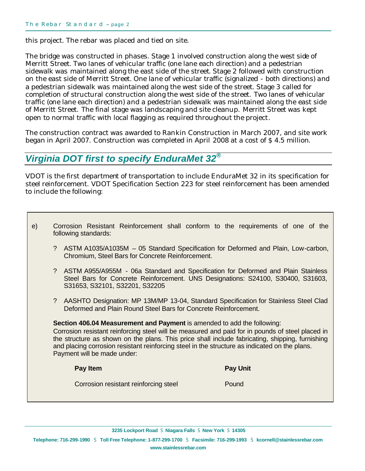this project. The rebar was placed and tied on site.

The bridge was constructed in phases. Stage 1 involved construction along the west side of Merritt Street. Two lanes of vehicular traffic (one lane each direction) and a pedestrian sidewalk was maintained along the east side of the street. Stage 2 followed with construction on the east side of Merritt Street. One lane of vehicular traffic (signalized - both directions) and a pedestrian sidewalk was maintained along the west side of the street. Stage 3 called for completion of structural construction along the west side of the street. Two lanes of vehicular traffic (one lane each direction) and a pedestrian sidewalk was maintained along the east side of Merritt Street. The final stage was landscaping and site cleanup. Merritt Street was kept open to normal traffic with local flagging as required throughout the project.

The construction contract was awarded to Rankin Construction in March 2007, and site work began in April 2007. Construction was completed in April 2008 at a cost of \$ 4.5 million.

# *Virginia DOT first to specify EnduraMet 32®*

VDOT is the first department of transportation to include EnduraMet 32 in its specification for steel reinforcement. VDOT Specification Section 223 for steel reinforcement has been amended to include the following:

- e) Corrosion Resistant Reinforcement shall conform to the requirements of one of the following standards:
	- ? ASTM A1035/A1035M 05 Standard Specification for Deformed and Plain, Low-carbon, Chromium, Steel Bars for Concrete Reinforcement.
	- ? ASTM A955/A955M 06a Standard and Specification for Deformed and Plain Stainless Steel Bars for Concrete Reinforcement. UNS Designations: S24100, S30400, S31603, S31653, S32101, S32201, S32205
	- ? AASHTO Designation: MP 13M/MP 13-04, Standard Specification for Stainless Steel Clad Deformed and Plain Round Steel Bars for Concrete Reinforcement.

**Section 406.04 Measurement and Payment** is amended to add the following: Corrosion resistant reinforcing steel will be measured and paid for in pounds of steel placed in the structure as shown on the plans. This price shall include fabricating, shipping, furnishing and placing corrosion resistant reinforcing steel in the structure as indicated on the plans. Payment will be made under:

**Pay Item Pay Unit** Corrosion resistant reinforcing steel Pound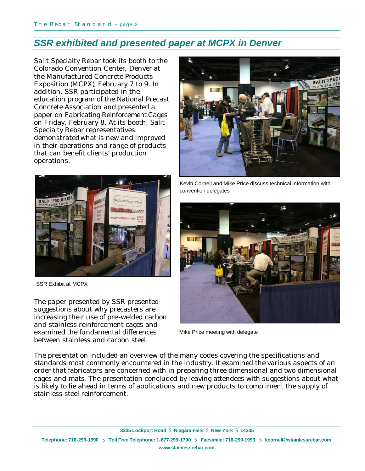#### *SSR exhibited and presented paper at MCPX in Denver*

Salit Specialty Rebar took its booth to the Colorado Convention Center, Denver at the Manufactured Concrete Products Exposition (MCPX), February 7 to 9. In addition, SSR participated in the education program of the National Precast Concrete Association and presented a paper on *Fabricating Reinforcement Cages* on Friday, February 8. At its booth, Salit Specialty Rebar representatives demonstratedwhat is new and improved in their operations and range of products that can benefit clients' production operations.



SSR Exhibit at MCPX

The paper presented by SSR presented suggestions about why precasters are increasing their use of pre-welded carbon and stainless reinforcement cages and examined the fundamental differences between stainless and carbon steel.



Kevin Cornell and Mike Price discuss technical information with convention delegates



Mike Price meeting with delegate

The presentation included an overview of the many codes covering the specifications and standards most commonly encountered in the industry. It examined the various aspects of an order that fabricators are concerned with in preparing three dimensional and two dimensional cages and mats. The presentation concluded by leaving attendees with suggestions about what is likely to lie ahead in terms of applications and new products to compliment the supply of stainless steel reinforcement.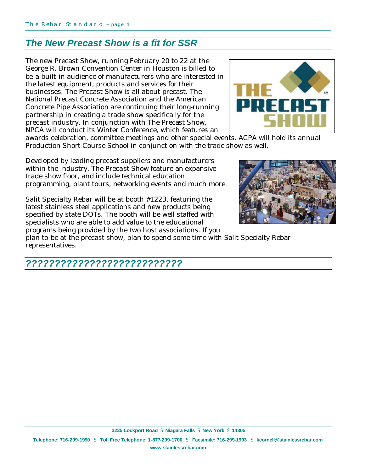### *The New Precast Show is a fit for SSR*

The new Precast Show, running February 20 to 22 at the George R. Brown Convention Center in Houston is billed to be a built-in audience of manufacturers who are interested in the latest equipment, products and services for their businesses. The Precast Show is all about precast. The National Precast Concrete Association and the American Concrete Pipe Association are continuing their long-running partnership in creating a trade show specifically for the precast industry. In conjunction with The Precast Show, NPCA will conduct its Winter Conference, which features an



awards celebration, committee meetings and other special events. ACPA will hold its annual Production Short Course School in conjunction with the trade show as well.

Developed by leading precast suppliers and manufacturers within the industry, The Precast Show feature an expansive trade show floor, and include technical education programming, plant tours, networking events and much more.

Salit Specialty Rebar will be at booth #1223, featuring the latest stainless steel applications and new products being specified by state DOTs. The booth will be well staffed with specialists who are able to add value to the educational programs being provided by the two host associations. If you



plan to be at the precast show, plan to spend some time with Salit Specialty Rebar representatives.

#### *???????????????????????????*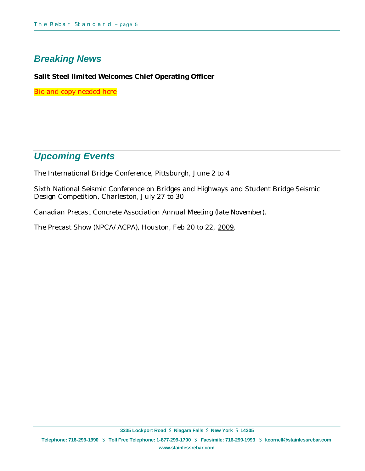## *Breaking News*

#### **Salit Steel limited Welcomes Chief Operating Officer**

Bio and copy needed here

### *Upcoming Events*

The International Bridge Conference, Pittsburgh, June 2 to 4

Sixth National Seismic Conference on Bridges and Highways and Student Bridge Seismic Design Competition, Charleston, July 27 to 30

Canadian Precast Concrete Association Annual Meeting (late November).

The Precast Show (NPCA/ACPA), Houston, Feb 20 to 22, 2009.